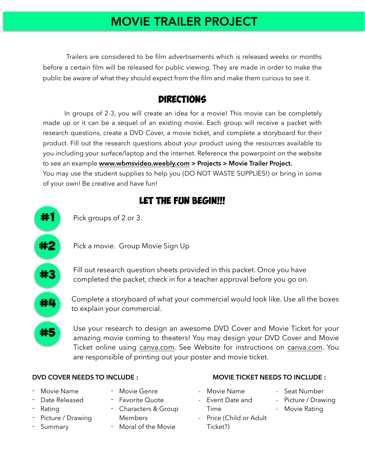### MOVIE TRAILER PROJECT

 Trailers are considered to be film advertisements which is released weeks or months before a certain film will be released for public viewing. They are made in order to make the public be aware of what they should expect from the film and make them curious to see it.

#### **DIRECTIONS**

 In groups of 2-3, you will create an idea for a movie! This movie can be completely made up or it can be a sequel of an existing movie. Each group will receive a packet with research questions, create a DVD Cover, a movie ticket, and complete a storyboard for their product. Fill out the research questions about your product using the resources available to you including your surface/laptop and the internet. Reference the powerpoint on the website to see an example **[www.wbmsvideo.weebly.com](http://www.wbmsvideo.weebly.com) > Projects > Movie Trailer Project.** You may use the student supplies to help you (DO NOT WASTE SUPPLIES!) or bring in some of your own! Be creative and have fun!

### LET THE FUN BEGIN!!!



#### **DVD COVER NEEDS TO INCLUDE :**

- Movie Name
- Date Released
- Rating
- Picture / Drawing
- **Summary**
- Movie Genre
- Favorite Quote
- Characters & Group Members
- Moral of the Movie
- **MOVIE TICKET NEEDS TO INCLUDE :**
- Movie Name - Event Date and
- Seat Number - Picture / Drawing
- Time
- Price (Child or Adult Ticket?)
- 
- Movie Rating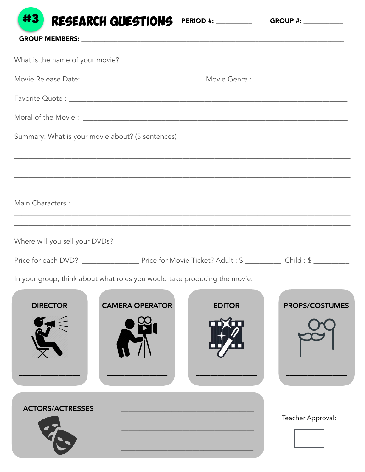| <b>RESEARCH QUESTIONS</b>                                                                                                                                             | <b>PERIOD #: ___________</b> |                   |
|-----------------------------------------------------------------------------------------------------------------------------------------------------------------------|------------------------------|-------------------|
|                                                                                                                                                                       |                              |                   |
|                                                                                                                                                                       |                              |                   |
|                                                                                                                                                                       |                              |                   |
|                                                                                                                                                                       |                              |                   |
| Summary: What is your movie about? (5 sentences)                                                                                                                      |                              |                   |
| ,我们也不会有什么。""我们的人,我们也不会有什么?""我们的人,我们也不会有什么?""我们的人,我们也不会有什么?""我们的人,我们也不会有什么?""我们的人<br>,我们也不能在这里的人,我们也不能在这里的人,我们也不能在这里的人,我们也不能在这里的人,我们也不能在这里的人,我们也不能在这里的人,我们也不能在这里的人,我们也 |                              |                   |
| Main Characters :<br>,我们也不能会有什么。""我们的人,我们也不能会有什么?""我们的人,我们也不能会有什么?""我们的人,我们也不能会有什么?""我们的人,我们也不能会有什么?""                                                                |                              |                   |
|                                                                                                                                                                       |                              |                   |
|                                                                                                                                                                       |                              |                   |
| In your group, think about what roles you would take producing the movie.                                                                                             |                              |                   |
| <b>CAMERA OPERATOR</b><br><b>DIRECTOR</b>                                                                                                                             | <b>EDITOR</b>                | PROPS/COSTUMES    |
|                                                                                                                                                                       |                              |                   |
| <b>ACTORS/ACTRESSES</b>                                                                                                                                               |                              | Teacher Approval: |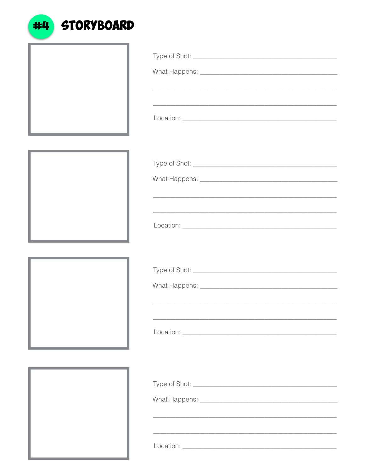| <u> 1989 - Johann Barnett, mars eta idazlea (h. 1989).</u> |  |
|------------------------------------------------------------|--|
|                                                            |  |
|                                                            |  |
|                                                            |  |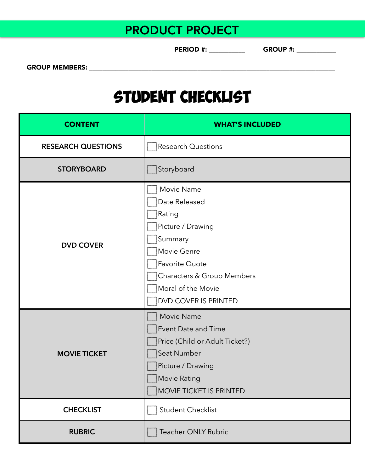## PRODUCT PROJECT

PERIOD #: \_\_\_\_\_\_\_\_\_\_\_ GROUP #: \_\_\_\_\_\_\_\_\_\_\_\_

GROUP MEMBERS: \_\_\_\_\_\_\_\_\_\_\_\_\_\_\_\_\_\_\_\_\_\_\_\_\_\_\_\_\_\_\_\_\_\_\_\_\_\_\_\_\_\_\_\_\_\_\_\_\_\_\_\_\_\_\_\_\_\_\_\_\_\_\_\_\_\_\_\_\_\_\_\_\_\_\_

## Student checklist

| <b>CONTENT</b>            | <b>WHAT'S INCLUDED</b>                                                                                                                                                                        |  |  |
|---------------------------|-----------------------------------------------------------------------------------------------------------------------------------------------------------------------------------------------|--|--|
| <b>RESEARCH QUESTIONS</b> | <b>Research Questions</b>                                                                                                                                                                     |  |  |
| <b>STORYBOARD</b>         | Storyboard                                                                                                                                                                                    |  |  |
| <b>DVD COVER</b>          | Movie Name<br>Date Released<br>Rating<br>Picture / Drawing<br>Summary<br>Movie Genre<br>Favorite Quote<br><b>Characters &amp; Group Members</b><br>Moral of the Movie<br>DVD COVER IS PRINTED |  |  |
| <b>MOVIE TICKET</b>       | Movie Name<br>Event Date and Time<br>Price (Child or Adult Ticket?)<br>Seat Number<br>Picture / Drawing<br>Movie Rating<br>MOVIE TICKET IS PRINTED                                            |  |  |
| <b>CHECKLIST</b>          | Student Checklist                                                                                                                                                                             |  |  |
| <b>RUBRIC</b>             | Teacher ONLY Rubric                                                                                                                                                                           |  |  |